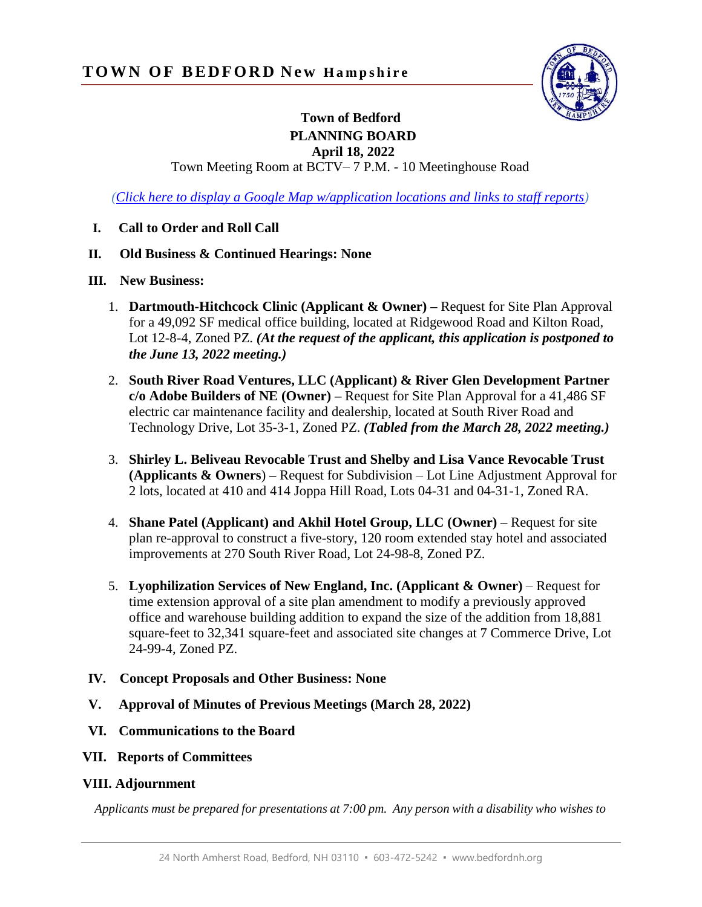

## **Town of Bedford PLANNING BOARD**

**April 18, 2022**

Town Meeting Room at BCTV– 7 P.M. - 10 Meetinghouse Road

*[\(Click here to display a Google Map w/application locations and links to staff reports\)](https://www.google.com/maps/d/edit?hl=en&mid=14xxox-tFRdlupO37Kt6u87uaukifJVE9&ll=42.92922774029357%2C-71.46103948008357&z=17)*

- **I. Call to Order and Roll Call**
- **II. Old Business & Continued Hearings: None**
- **III. New Business:**
	- 1. **Dartmouth-Hitchcock Clinic (Applicant & Owner) –** Request for Site Plan Approval for a 49,092 SF medical office building, located at Ridgewood Road and Kilton Road, Lot 12-8-4, Zoned PZ. *(At the request of the applicant, this application is postponed to the June 13, 2022 meeting.)*
	- 2. **South River Road Ventures, LLC (Applicant) & River Glen Development Partner c/o Adobe Builders of NE (Owner) –** Request for Site Plan Approval for a 41,486 SF electric car maintenance facility and dealership, located at South River Road and Technology Drive, Lot 35-3-1, Zoned PZ. *(Tabled from the March 28, 2022 meeting.)*
	- 3. **Shirley L. Beliveau Revocable Trust and Shelby and Lisa Vance Revocable Trust (Applicants & Owners**) **–** Request for Subdivision – Lot Line Adjustment Approval for 2 lots, located at 410 and 414 Joppa Hill Road, Lots 04-31 and 04-31-1, Zoned RA.
	- 4. **Shane Patel (Applicant) and Akhil Hotel Group, LLC (Owner)** Request for site plan re-approval to construct a five-story, 120 room extended stay hotel and associated improvements at 270 South River Road, Lot 24-98-8, Zoned PZ.
	- 5. **Lyophilization Services of New England, Inc. (Applicant & Owner)**  Request for time extension approval of a site plan amendment to modify a previously approved office and warehouse building addition to expand the size of the addition from 18,881 square-feet to 32,341 square-feet and associated site changes at 7 Commerce Drive, Lot 24-99-4, Zoned PZ.
- **IV. Concept Proposals and Other Business: None**
- **V. Approval of Minutes of Previous Meetings (March 28, 2022)**
- **VI. Communications to the Board**
- **VII. Reports of Committees**

## **VIII. Adjournment**

*Applicants must be prepared for presentations at 7:00 pm. Any person with a disability who wishes to*